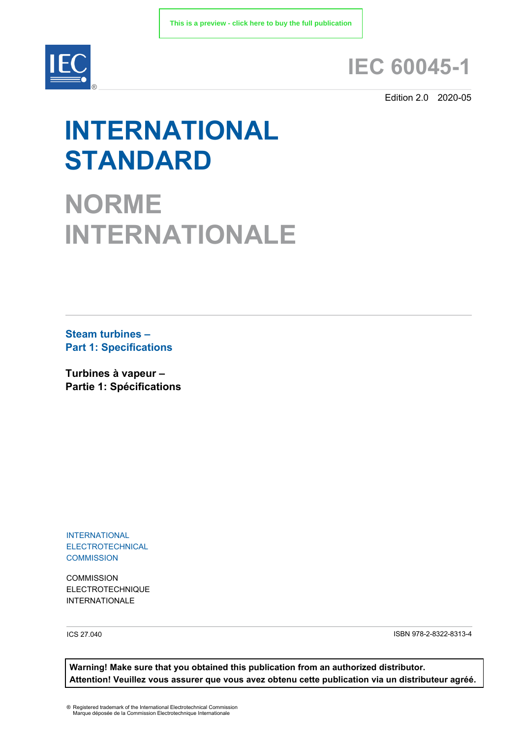

# **IEC 60045-1**

Edition 2.0 2020-05

# **INTERNATIONAL STANDARD**

**NORME INTERNATIONALE**

**Steam turbines – Part 1: Specifications** 

**Turbines à vapeur – Partie 1: Spécifications**

INTERNATIONAL **ELECTROTECHNICAL COMMISSION** 

**COMMISSION** ELECTROTECHNIQUE INTERNATIONALE

ICS 27.040 ISBN 978-2-8322-8313-4

**Warning! Make sure that you obtained this publication from an authorized distributor. Attention! Veuillez vous assurer que vous avez obtenu cette publication via un distributeur agréé.**

® Registered trademark of the International Electrotechnical Commission Marque déposée de la Commission Electrotechnique Internationale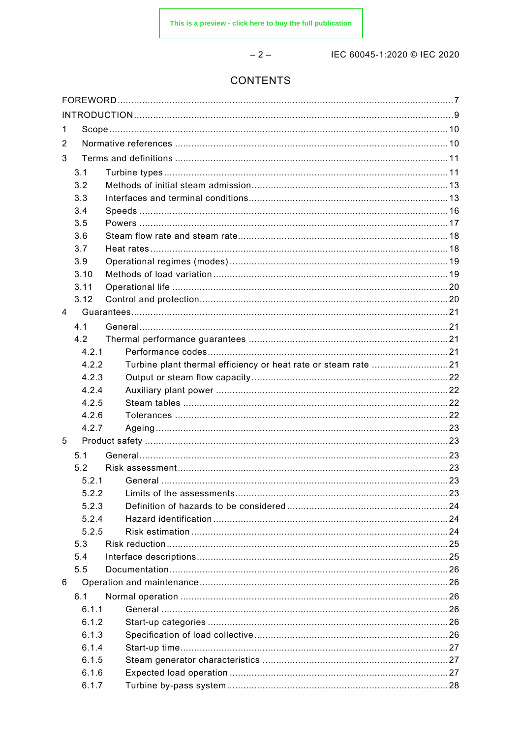$-2-$ 

IEC 60045-1:2020 © IEC 2020

# CONTENTS

| 1 |       |                                                                |  |
|---|-------|----------------------------------------------------------------|--|
| 2 |       |                                                                |  |
| 3 |       |                                                                |  |
|   | 3.1   |                                                                |  |
|   | 3.2   |                                                                |  |
|   | 3.3   |                                                                |  |
|   | 3.4   |                                                                |  |
|   | 3.5   |                                                                |  |
|   | 3.6   |                                                                |  |
|   | 3.7   |                                                                |  |
|   | 3.9   |                                                                |  |
|   | 3.10  |                                                                |  |
|   |       |                                                                |  |
|   | 3.11  |                                                                |  |
|   | 3.12  |                                                                |  |
| 4 |       |                                                                |  |
|   | 4.1   |                                                                |  |
|   | 4.2   |                                                                |  |
|   | 4.2.1 |                                                                |  |
|   | 4.2.2 | Turbine plant thermal efficiency or heat rate or steam rate 21 |  |
|   | 4.2.3 |                                                                |  |
|   |       |                                                                |  |
|   | 4.2.4 |                                                                |  |
|   | 4.2.5 |                                                                |  |
|   | 4.2.6 |                                                                |  |
|   | 4.2.7 |                                                                |  |
| 5 |       |                                                                |  |
|   | 5.1   |                                                                |  |
|   | 5.2   |                                                                |  |
|   | 5.2.1 |                                                                |  |
|   | 5.2.2 |                                                                |  |
|   | 5.2.3 |                                                                |  |
|   | 5.2.4 |                                                                |  |
|   | 5.2.5 |                                                                |  |
|   | 5.3   |                                                                |  |
|   | 5.4   |                                                                |  |
|   | 5.5   |                                                                |  |
| 6 |       |                                                                |  |
|   | 6.1   |                                                                |  |
|   | 6.1.1 |                                                                |  |
|   | 6.1.2 |                                                                |  |
|   | 6.1.3 |                                                                |  |
|   | 6.1.4 |                                                                |  |
|   | 6.1.5 |                                                                |  |
|   | 6.1.6 |                                                                |  |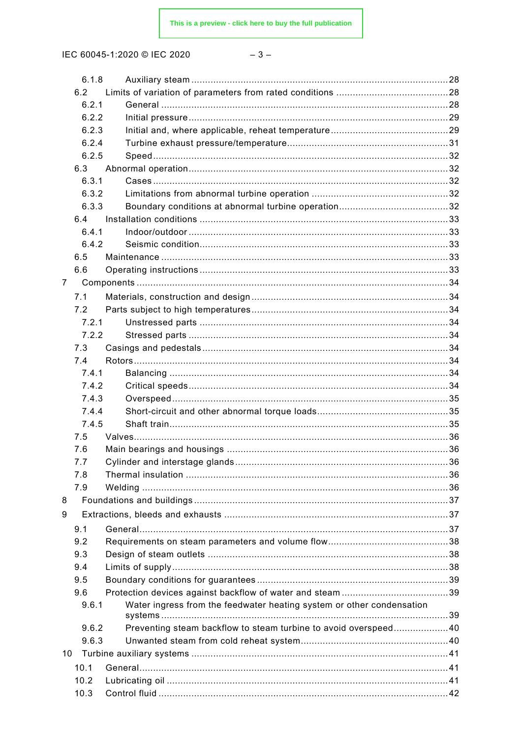|--|--|--|

| 6.1.8<br>6.2<br>6.2.1<br>6.2.2<br>6.2.3<br>6.2.4<br>6.2.5<br>6.3<br>6.3.1<br>6.3.2<br>6.3.3<br>6.4<br>6.4.1<br>6.4.2<br>6.5<br>6.6<br>$\overline{7}$<br>7.1<br>7.2<br>7.2.1<br>7.2.2<br>7.3<br>7.4<br>7.4.1<br>7.4.2<br>7.4.3<br>7.4.4<br>7.4.5<br>7.5<br>7.6<br>7.7<br>7.8<br>7.9<br>8<br>9<br>9.1<br>9.2<br>9.3<br>9.4<br>9.5<br>9.6<br>9.6.1<br>Water ingress from the feedwater heating system or other condensation<br>Preventing steam backflow to steam turbine to avoid overspeed40<br>9.6.2<br>9.6.3<br>10<br>10.1<br>10.2 |      |  |
|-------------------------------------------------------------------------------------------------------------------------------------------------------------------------------------------------------------------------------------------------------------------------------------------------------------------------------------------------------------------------------------------------------------------------------------------------------------------------------------------------------------------------------------|------|--|
|                                                                                                                                                                                                                                                                                                                                                                                                                                                                                                                                     |      |  |
|                                                                                                                                                                                                                                                                                                                                                                                                                                                                                                                                     |      |  |
|                                                                                                                                                                                                                                                                                                                                                                                                                                                                                                                                     |      |  |
|                                                                                                                                                                                                                                                                                                                                                                                                                                                                                                                                     |      |  |
|                                                                                                                                                                                                                                                                                                                                                                                                                                                                                                                                     |      |  |
|                                                                                                                                                                                                                                                                                                                                                                                                                                                                                                                                     |      |  |
|                                                                                                                                                                                                                                                                                                                                                                                                                                                                                                                                     |      |  |
|                                                                                                                                                                                                                                                                                                                                                                                                                                                                                                                                     |      |  |
|                                                                                                                                                                                                                                                                                                                                                                                                                                                                                                                                     |      |  |
|                                                                                                                                                                                                                                                                                                                                                                                                                                                                                                                                     |      |  |
|                                                                                                                                                                                                                                                                                                                                                                                                                                                                                                                                     |      |  |
|                                                                                                                                                                                                                                                                                                                                                                                                                                                                                                                                     |      |  |
|                                                                                                                                                                                                                                                                                                                                                                                                                                                                                                                                     |      |  |
|                                                                                                                                                                                                                                                                                                                                                                                                                                                                                                                                     |      |  |
|                                                                                                                                                                                                                                                                                                                                                                                                                                                                                                                                     |      |  |
|                                                                                                                                                                                                                                                                                                                                                                                                                                                                                                                                     |      |  |
|                                                                                                                                                                                                                                                                                                                                                                                                                                                                                                                                     |      |  |
|                                                                                                                                                                                                                                                                                                                                                                                                                                                                                                                                     |      |  |
|                                                                                                                                                                                                                                                                                                                                                                                                                                                                                                                                     |      |  |
|                                                                                                                                                                                                                                                                                                                                                                                                                                                                                                                                     |      |  |
|                                                                                                                                                                                                                                                                                                                                                                                                                                                                                                                                     |      |  |
|                                                                                                                                                                                                                                                                                                                                                                                                                                                                                                                                     |      |  |
|                                                                                                                                                                                                                                                                                                                                                                                                                                                                                                                                     |      |  |
|                                                                                                                                                                                                                                                                                                                                                                                                                                                                                                                                     |      |  |
|                                                                                                                                                                                                                                                                                                                                                                                                                                                                                                                                     |      |  |
|                                                                                                                                                                                                                                                                                                                                                                                                                                                                                                                                     |      |  |
|                                                                                                                                                                                                                                                                                                                                                                                                                                                                                                                                     |      |  |
|                                                                                                                                                                                                                                                                                                                                                                                                                                                                                                                                     |      |  |
|                                                                                                                                                                                                                                                                                                                                                                                                                                                                                                                                     |      |  |
|                                                                                                                                                                                                                                                                                                                                                                                                                                                                                                                                     |      |  |
|                                                                                                                                                                                                                                                                                                                                                                                                                                                                                                                                     |      |  |
|                                                                                                                                                                                                                                                                                                                                                                                                                                                                                                                                     |      |  |
|                                                                                                                                                                                                                                                                                                                                                                                                                                                                                                                                     |      |  |
|                                                                                                                                                                                                                                                                                                                                                                                                                                                                                                                                     |      |  |
|                                                                                                                                                                                                                                                                                                                                                                                                                                                                                                                                     |      |  |
|                                                                                                                                                                                                                                                                                                                                                                                                                                                                                                                                     |      |  |
|                                                                                                                                                                                                                                                                                                                                                                                                                                                                                                                                     |      |  |
|                                                                                                                                                                                                                                                                                                                                                                                                                                                                                                                                     |      |  |
|                                                                                                                                                                                                                                                                                                                                                                                                                                                                                                                                     |      |  |
|                                                                                                                                                                                                                                                                                                                                                                                                                                                                                                                                     |      |  |
|                                                                                                                                                                                                                                                                                                                                                                                                                                                                                                                                     |      |  |
|                                                                                                                                                                                                                                                                                                                                                                                                                                                                                                                                     |      |  |
|                                                                                                                                                                                                                                                                                                                                                                                                                                                                                                                                     |      |  |
|                                                                                                                                                                                                                                                                                                                                                                                                                                                                                                                                     |      |  |
|                                                                                                                                                                                                                                                                                                                                                                                                                                                                                                                                     |      |  |
|                                                                                                                                                                                                                                                                                                                                                                                                                                                                                                                                     |      |  |
|                                                                                                                                                                                                                                                                                                                                                                                                                                                                                                                                     |      |  |
|                                                                                                                                                                                                                                                                                                                                                                                                                                                                                                                                     |      |  |
|                                                                                                                                                                                                                                                                                                                                                                                                                                                                                                                                     | 10.3 |  |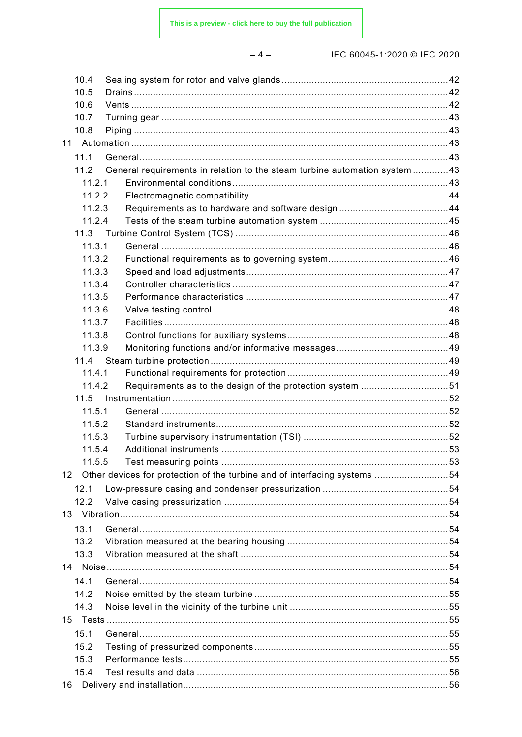|--|--|--|

| 10.4   |                                                                            |  |
|--------|----------------------------------------------------------------------------|--|
|        |                                                                            |  |
| 10.5   |                                                                            |  |
| 10.6   |                                                                            |  |
| 10.7   |                                                                            |  |
| 10.8   |                                                                            |  |
|        |                                                                            |  |
| 111    |                                                                            |  |
| 11.2   | General requirements in relation to the steam turbine automation system 43 |  |
| 11.2.1 |                                                                            |  |
| 11.2.2 |                                                                            |  |
| 11.2.3 |                                                                            |  |
| 11.2.4 |                                                                            |  |
| 11.3   |                                                                            |  |
| 11.3.1 |                                                                            |  |
| 11.3.2 |                                                                            |  |
| 11.3.3 |                                                                            |  |
| 11.3.4 |                                                                            |  |
| 11.3.5 |                                                                            |  |
| 11.3.6 |                                                                            |  |
| 11.3.7 |                                                                            |  |
| 11.3.8 |                                                                            |  |
| 11.3.9 |                                                                            |  |
| 11.4   |                                                                            |  |
| 11.4.1 |                                                                            |  |
| 11.4.2 | Requirements as to the design of the protection system 51                  |  |
| 11.5   |                                                                            |  |
| 11.5.1 |                                                                            |  |
| 11.5.2 |                                                                            |  |
| 11.5.3 |                                                                            |  |
| 11.5.4 |                                                                            |  |
| 11.5.5 |                                                                            |  |
| 12     | Other devices for protection of the turbine and of interfacing systems 54  |  |
|        |                                                                            |  |
| 12.1   |                                                                            |  |
| 12.2   |                                                                            |  |
|        |                                                                            |  |
| 13.1   |                                                                            |  |
| 13.2   |                                                                            |  |
| 13.3   |                                                                            |  |
|        |                                                                            |  |
| 14.1   |                                                                            |  |
| 14.2   |                                                                            |  |
| 14.3   |                                                                            |  |
|        |                                                                            |  |
| 15.1   |                                                                            |  |
| 15.2   |                                                                            |  |
| 15.3   |                                                                            |  |
| 15.4   |                                                                            |  |
| 16     |                                                                            |  |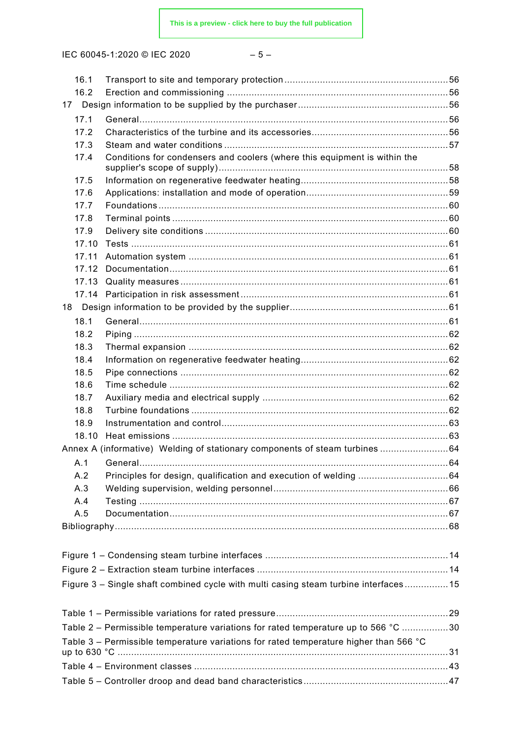$$
-5- \nonumber\\
$$

| 16.1  |                                                                                                   |  |
|-------|---------------------------------------------------------------------------------------------------|--|
| 16.2  |                                                                                                   |  |
| 17    |                                                                                                   |  |
| 17.1  |                                                                                                   |  |
| 17.2  |                                                                                                   |  |
| 17.3  |                                                                                                   |  |
| 17.4  | Conditions for condensers and coolers (where this equipment is within the                         |  |
| 17.5  |                                                                                                   |  |
| 17.6  |                                                                                                   |  |
| 17.7  |                                                                                                   |  |
| 17.8  |                                                                                                   |  |
| 17.9  |                                                                                                   |  |
| 17.10 |                                                                                                   |  |
| 17.11 |                                                                                                   |  |
| 17.12 |                                                                                                   |  |
| 17.13 |                                                                                                   |  |
| 17.14 |                                                                                                   |  |
| 18    |                                                                                                   |  |
| 18.1  |                                                                                                   |  |
| 18.2  |                                                                                                   |  |
| 18.3  |                                                                                                   |  |
| 18.4  |                                                                                                   |  |
| 18.5  |                                                                                                   |  |
| 18.6  |                                                                                                   |  |
| 18.7  |                                                                                                   |  |
| 18.8  |                                                                                                   |  |
| 18.9  |                                                                                                   |  |
| 18.10 |                                                                                                   |  |
|       | Annex A (informative) Welding of stationary components of steam turbines  64                      |  |
| A.1   |                                                                                                   |  |
| A.2   |                                                                                                   |  |
| A.3   |                                                                                                   |  |
| A.4   |                                                                                                   |  |
| A.5   |                                                                                                   |  |
|       |                                                                                                   |  |
|       |                                                                                                   |  |
|       |                                                                                                   |  |
|       | Figure 3 - Single shaft combined cycle with multi casing steam turbine interfaces 15              |  |
|       |                                                                                                   |  |
|       |                                                                                                   |  |
|       | Table 2 - Permissible temperature variations for rated temperature up to 566 °C 30                |  |
|       | Table $3$ – Permissible temperature variations for rated temperature higher than 566 $^{\circ}$ C |  |
|       |                                                                                                   |  |
|       |                                                                                                   |  |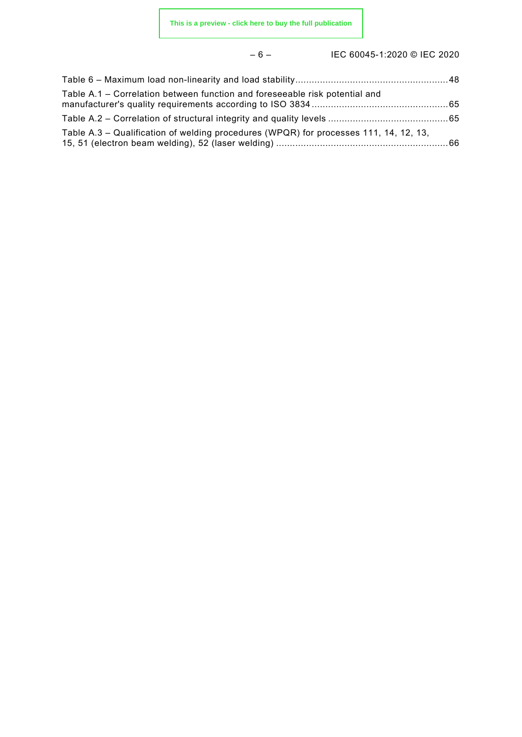– 6 – IEC 60045-1:2020 © IEC 2020

| Table A.1 – Correlation between function and foreseeable risk potential and           |  |
|---------------------------------------------------------------------------------------|--|
|                                                                                       |  |
| Table A.3 – Qualification of welding procedures (WPQR) for processes 111, 14, 12, 13, |  |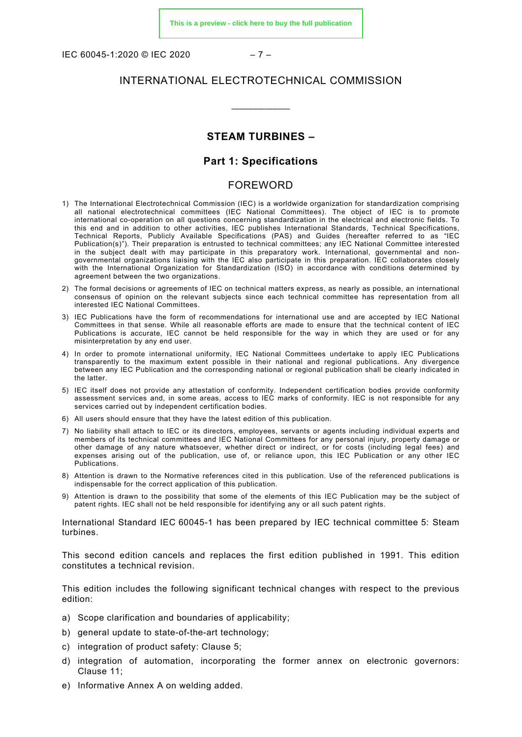IEC 60045-1:2020 © IEC 2020 – 7 –

# INTERNATIONAL ELECTROTECHNICAL COMMISSION

\_\_\_\_\_\_\_\_\_\_\_\_

# **STEAM TURBINES –**

# **Part 1: Specifications**

### FOREWORD

- <span id="page-6-0"></span>1) The International Electrotechnical Commission (IEC) is a worldwide organization for standardization comprising all national electrotechnical committees (IEC National Committees). The object of IEC is to promote international co-operation on all questions concerning standardization in the electrical and electronic fields. To this end and in addition to other activities, IEC publishes International Standards, Technical Specifications, Technical Reports, Publicly Available Specifications (PAS) and Guides (hereafter referred to as "IEC Publication(s)"). Their preparation is entrusted to technical committees; any IEC National Committee interested in the subject dealt with may participate in this preparatory work. International, governmental and nongovernmental organizations liaising with the IEC also participate in this preparation. IEC collaborates closely with the International Organization for Standardization (ISO) in accordance with conditions determined by agreement between the two organizations.
- 2) The formal decisions or agreements of IEC on technical matters express, as nearly as possible, an international consensus of opinion on the relevant subjects since each technical committee has representation from all interested IEC National Committees.
- 3) IEC Publications have the form of recommendations for international use and are accepted by IEC National Committees in that sense. While all reasonable efforts are made to ensure that the technical content of IEC Publications is accurate, IEC cannot be held responsible for the way in which they are used or for any misinterpretation by any end user.
- 4) In order to promote international uniformity, IEC National Committees undertake to apply IEC Publications transparently to the maximum extent possible in their national and regional publications. Any divergence between any IEC Publication and the corresponding national or regional publication shall be clearly indicated in the latter.
- 5) IEC itself does not provide any attestation of conformity. Independent certification bodies provide conformity assessment services and, in some areas, access to IEC marks of conformity. IEC is not responsible for any services carried out by independent certification bodies.
- 6) All users should ensure that they have the latest edition of this publication.
- 7) No liability shall attach to IEC or its directors, employees, servants or agents including individual experts and members of its technical committees and IEC National Committees for any personal injury, property damage or other damage of any nature whatsoever, whether direct or indirect, or for costs (including legal fees) and expenses arising out of the publication, use of, or reliance upon, this IEC Publication or any other IEC Publications.
- 8) Attention is drawn to the Normative references cited in this publication. Use of the referenced publications is indispensable for the correct application of this publication.
- 9) Attention is drawn to the possibility that some of the elements of this IEC Publication may be the subject of patent rights. IEC shall not be held responsible for identifying any or all such patent rights.

International Standard IEC 60045-1 has been prepared by IEC technical committee 5: Steam turbines.

This second edition cancels and replaces the first edition published in 1991. This edition constitutes a technical revision.

This edition includes the following significant technical changes with respect to the previous edition:

- a) Scope clarification and boundaries of applicability;
- b) general update to state-of-the-art technology;
- c) integration of product safety: Clause 5;
- d) integration of automation, incorporating the former annex on electronic governors: Clause 11;
- e) Informative Annex A on welding added.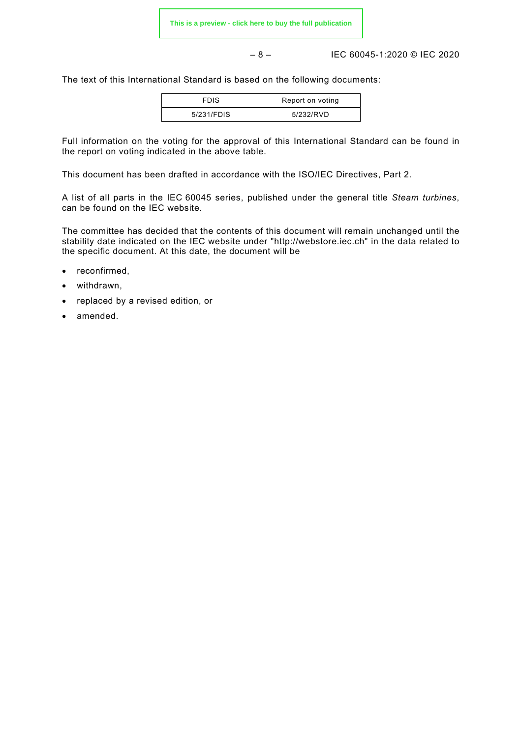– 8 – IEC 60045-1:2020 © IEC 2020

The text of this International Standard is based on the following documents:

| <b>FDIS</b> | Report on voting |
|-------------|------------------|
| 5/231/FDIS  | 5/232/RVD        |

Full information on the voting for the approval of this International Standard can be found in the report on voting indicated in the above table.

This document has been drafted in accordance with the ISO/IEC Directives, Part 2.

A list of all parts in the IEC 60045 series, published under the general title *Steam turbines*, can be found on the IEC website.

The committee has decided that the contents of this document will remain unchanged until the stability date indicated on the IEC website under ["http://webstore.iec.ch"](http://webstore.iec.ch/) in the data related to the specific document. At this date, the document will be

- reconfirmed,
- withdrawn,
- replaced by a revised edition, or
- amended.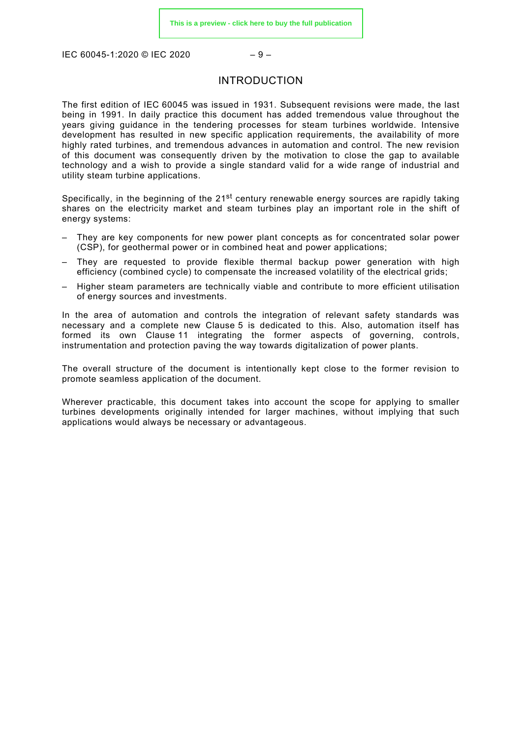<span id="page-8-0"></span>IEC 60045-1:2020 © IEC 2020  $-9-$ 

# INTRODUCTION

The first edition of IEC 60045 was issued in 1931. Subsequent revisions were made, the last being in 1991. In daily practice this document has added tremendous value throughout the years giving guidance in the tendering processes for steam turbines worldwide. Intensive development has resulted in new specific application requirements, the availability of more highly rated turbines, and tremendous advances in automation and control. The new revision of this document was consequently driven by the motivation to close the gap to available technology and a wish to provide a single standard valid for a wide range of industrial and utility steam turbine applications.

Specifically, in the beginning of the 21<sup>st</sup> century renewable energy sources are rapidly taking shares on the electricity market and steam turbines play an important role in the shift of energy systems:

- They are key components for new power plant concepts as for concentrated solar power (CSP), for geothermal power or in combined heat and power applications;
- They are requested to provide flexible thermal backup power generation with high efficiency (combined cycle) to compensate the increased volatility of the electrical grids;
- Higher steam parameters are technically viable and contribute to more efficient utilisation of energy sources and investments.

In the area of automation and controls the integration of relevant safety standards was necessary and a complete new Clause 5 is dedicated to this. Also, automation itself has formed its own Clause 11 integrating the former aspects of governing, controls, instrumentation and protection paving the way towards digitalization of power plants.

The overall structure of the document is intentionally kept close to the former revision to promote seamless application of the document.

Wherever practicable, this document takes into account the scope for applying to smaller turbines developments originally intended for larger machines, without implying that such applications would always be necessary or advantageous.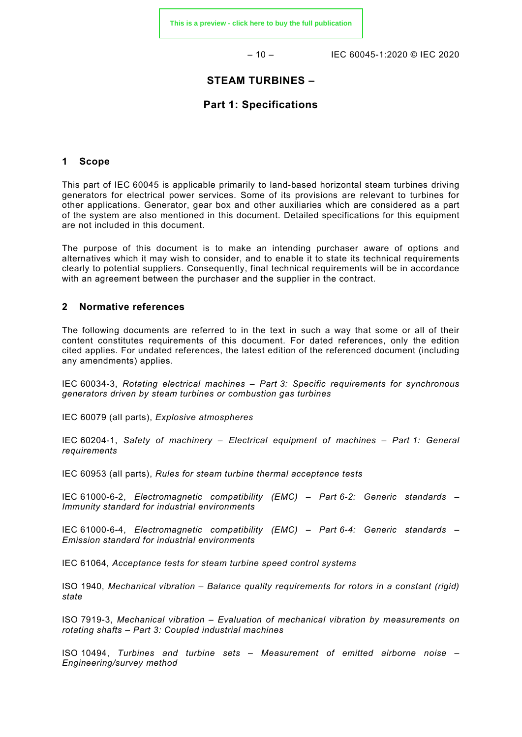$-10 -$  IEC 60045-1:2020 © IEC 2020

# **STEAM TURBINES –**

# **Part 1: Specifications**

#### <span id="page-9-0"></span>**1 Scope**

This part of IEC 60045 is applicable primarily to land-based horizontal steam turbines driving generators for electrical power services. Some of its provisions are relevant to turbines for other applications. Generator, gear box and other auxiliaries which are considered as a part of the system are also mentioned in this document. Detailed specifications for this equipment are not included in this document.

The purpose of this document is to make an intending purchaser aware of options and alternatives which it may wish to consider, and to enable it to state its technical requirements clearly to potential suppliers. Consequently, final technical requirements will be in accordance with an agreement between the purchaser and the supplier in the contract.

### <span id="page-9-1"></span>**2 Normative references**

The following documents are referred to in the text in such a way that some or all of their content constitutes requirements of this document. For dated references, only the edition cited applies. For undated references, the latest edition of the referenced document (including any amendments) applies.

IEC 60034-3, *Rotating electrical machines – Part 3: Specific requirements for synchronous generators driven by steam turbines or combustion gas turbines*

IEC 60079 (all parts), *Explosive atmospheres*

IEC 60204-1, *Safety of machinery – Electrical equipment of machines – Part 1: General requirements*

IEC 60953 (all parts), *Rules for steam turbine thermal acceptance tests*

IEC 61000-6-2, *Electromagnetic compatibility (EMC) – Part 6-2: Generic standards – Immunity standard for industrial environments*

IEC 61000-6-4, *Electromagnetic compatibility (EMC) – Part 6-4: Generic standards – Emission standard for industrial environments*

IEC 61064, *Acceptance tests for steam turbine speed control systems*

ISO 1940, *Mechanical vibration – Balance quality requirements for rotors in a constant (rigid) state*

ISO 7919-3, *Mechanical vibration – Evaluation of mechanical vibration by measurements on rotating shafts – Part 3: Coupled industrial machines*

ISO 10494, *Turbines and turbine sets – Measurement of emitted airborne noise – Engineering/survey method*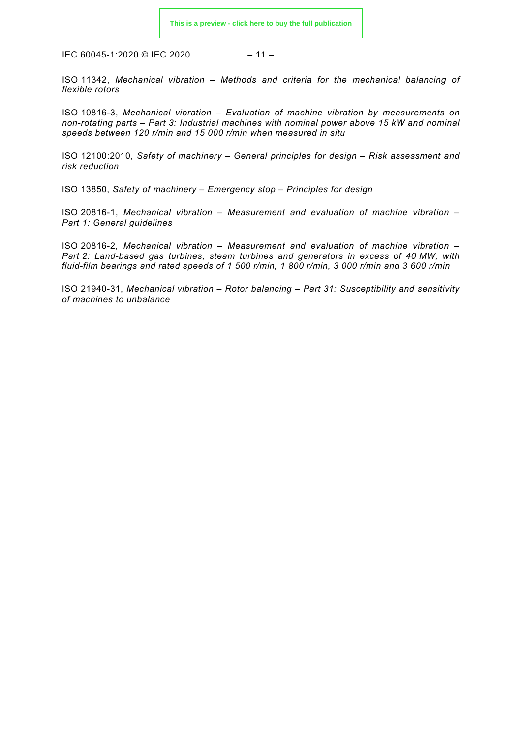IEC 60045-1:2020 © IEC 2020 – 11 –

ISO 11342, *Mechanical vibration – Methods and criteria for the mechanical balancing of flexible rotors*

ISO 10816-3, *Mechanical vibration – Evaluation of machine vibration by measurements on non-rotating parts – Part 3: Industrial machines with nominal power above 15 kW and nominal speeds between 120 r/min and 15 000 r/min when measured in situ*

ISO 12100:2010, *Safety of machinery – General principles for design – Risk assessment and risk reduction*

ISO 13850, *Safety of machinery – Emergency stop – Principles for design*

ISO 20816-1, *Mechanical vibration – Measurement and evaluation of machine vibration – Part 1: General guidelines*

ISO 20816-2, *Mechanical vibration – Measurement and evaluation of machine vibration – Part 2: Land-based gas turbines, steam turbines and generators in excess of 40 MW, with fluid-film bearings and rated speeds of 1 500 r/min, 1 800 r/min, 3 000 r/min and 3 600 r/min*

<span id="page-10-1"></span><span id="page-10-0"></span>ISO 21940-31, *Mechanical vibration – Rotor balancing – Part 31: Susceptibility and sensitivity of machines to unbalance*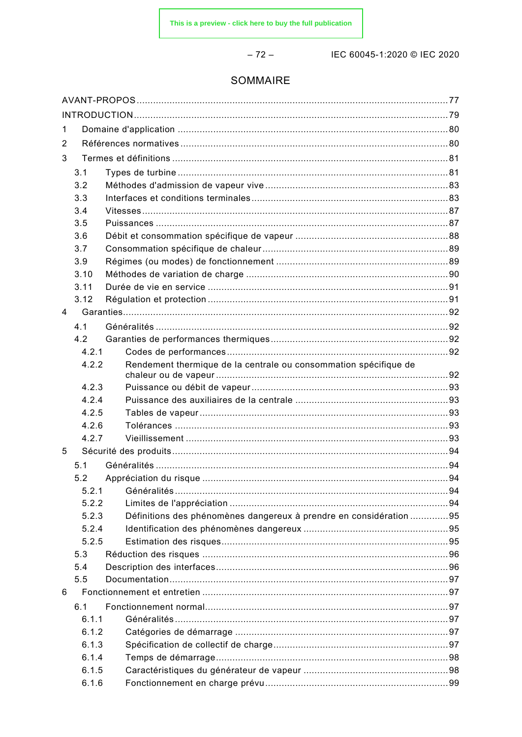$-72-$ 

IEC 60045-1:2020 © IEC 2020

# SOMMAIRE

| $\mathbf 1$ |       |                                                                    |  |
|-------------|-------|--------------------------------------------------------------------|--|
| 2           |       |                                                                    |  |
| 3           |       |                                                                    |  |
|             | 3.1   |                                                                    |  |
|             | 3.2   |                                                                    |  |
|             | 3.3   |                                                                    |  |
|             | 3.4   |                                                                    |  |
|             | 3.5   |                                                                    |  |
|             | 3.6   |                                                                    |  |
|             | 3.7   |                                                                    |  |
|             | 3.9   |                                                                    |  |
|             | 3.10  |                                                                    |  |
|             | 3.11  |                                                                    |  |
|             | 3.12  |                                                                    |  |
| 4           |       |                                                                    |  |
|             | 4.1   |                                                                    |  |
|             | 4.2   |                                                                    |  |
|             | 4.2.1 |                                                                    |  |
|             | 4.2.2 | Rendement thermique de la centrale ou consommation spécifique de   |  |
|             | 4.2.3 |                                                                    |  |
|             | 4.2.4 |                                                                    |  |
|             | 4.2.5 |                                                                    |  |
|             | 4.2.6 |                                                                    |  |
|             | 4.2.7 |                                                                    |  |
| 5           |       |                                                                    |  |
|             | 5.1   |                                                                    |  |
|             | 5.2   |                                                                    |  |
|             | 5.2.1 |                                                                    |  |
|             | 5.2.2 |                                                                    |  |
|             | 5.2.3 | Définitions des phénomènes dangereux à prendre en considération 95 |  |
|             | 5.2.4 |                                                                    |  |
|             | 5.2.5 |                                                                    |  |
|             | 5.3   |                                                                    |  |
|             | 5.4   |                                                                    |  |
|             | 5.5   |                                                                    |  |
| 6           |       |                                                                    |  |
|             | 6.1   |                                                                    |  |
|             | 6.1.1 |                                                                    |  |
|             | 6.1.2 |                                                                    |  |
|             | 6.1.3 |                                                                    |  |
|             | 6.1.4 |                                                                    |  |
|             | 6.1.5 |                                                                    |  |
|             | 6.1.6 |                                                                    |  |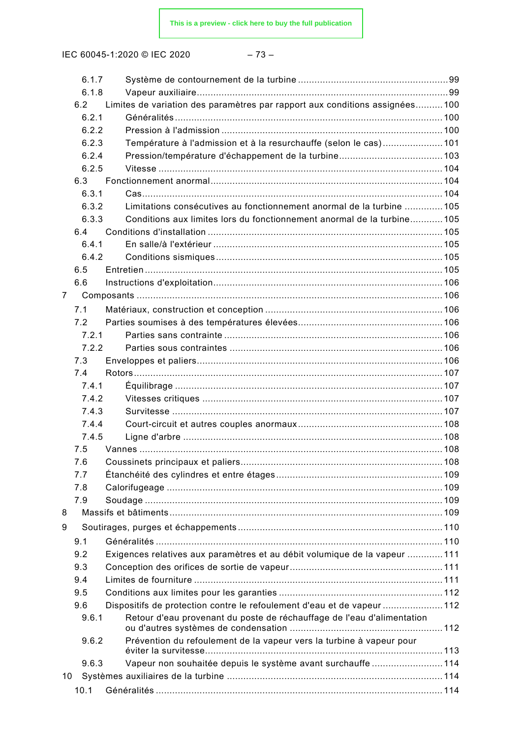IEC 60045-1:2020 © IEC 2020 – 73 –

|                | 6.1.7 |                                                                             |  |
|----------------|-------|-----------------------------------------------------------------------------|--|
|                | 6.1.8 |                                                                             |  |
|                | 6.2   | Limites de variation des paramètres par rapport aux conditions assignées100 |  |
|                | 6.2.1 |                                                                             |  |
|                | 6.2.2 |                                                                             |  |
|                | 6.2.3 | Température à l'admission et à la resurchauffe (selon le cas)101            |  |
|                | 6.2.4 |                                                                             |  |
|                | 6.2.5 |                                                                             |  |
|                | 6.3   |                                                                             |  |
|                | 6.3.1 |                                                                             |  |
|                | 6.3.2 | Limitations consécutives au fonctionnement anormal de la turbine  105       |  |
|                | 6.3.3 | Conditions aux limites lors du fonctionnement anormal de la turbine105      |  |
|                | 6.4   |                                                                             |  |
|                | 6.4.1 |                                                                             |  |
|                | 6.4.2 |                                                                             |  |
|                | 6.5   |                                                                             |  |
|                | 6.6   |                                                                             |  |
| $\overline{7}$ |       |                                                                             |  |
|                | 7.1   |                                                                             |  |
|                | 7.2   |                                                                             |  |
|                | 7.2.1 |                                                                             |  |
|                | 7.2.2 |                                                                             |  |
|                | 7.3   |                                                                             |  |
|                | 7.4   |                                                                             |  |
|                | 7.4.1 |                                                                             |  |
|                | 7.4.2 |                                                                             |  |
|                | 7.4.3 |                                                                             |  |
|                | 7.4.4 |                                                                             |  |
|                | 7.4.5 |                                                                             |  |
|                | 7.5   |                                                                             |  |
|                | 7.6   |                                                                             |  |
|                | 7.7   |                                                                             |  |
|                | 7.8   |                                                                             |  |
|                | 7.9   |                                                                             |  |
| 8              |       |                                                                             |  |
| 9              |       |                                                                             |  |
|                | 9.1   |                                                                             |  |
|                | 9.2   | Exigences relatives aux paramètres et au débit volumique de la vapeur 111   |  |
|                | 9.3   |                                                                             |  |
|                | 9.4   |                                                                             |  |
|                | 9.5   |                                                                             |  |
|                | 9.6   | Dispositifs de protection contre le refoulement d'eau et de vapeur 112      |  |
|                | 9.6.1 | Retour d'eau provenant du poste de réchauffage de l'eau d'alimentation      |  |
|                |       |                                                                             |  |
|                | 9.6.2 | Prévention du refoulement de la vapeur vers la turbine à vapeur pour        |  |
|                |       |                                                                             |  |
|                | 9.6.3 | Vapeur non souhaitée depuis le système avant surchauffe 114                 |  |
| 10             |       |                                                                             |  |
|                | 10.1  |                                                                             |  |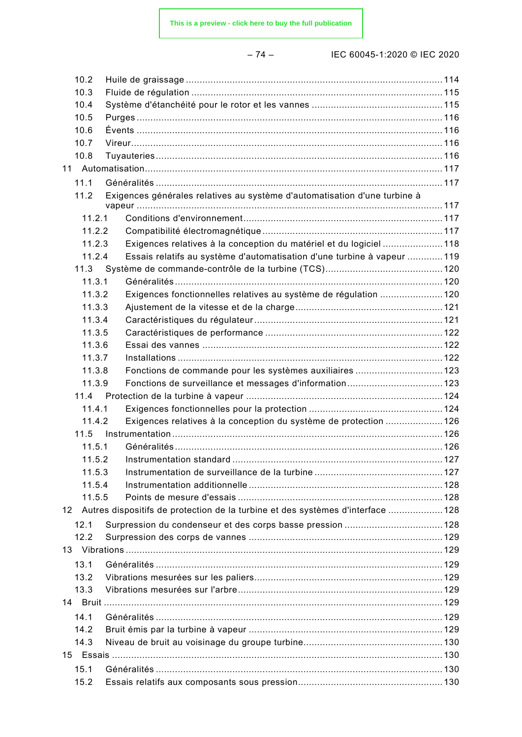|--|--|

| 10.2            |                                                                                 |  |
|-----------------|---------------------------------------------------------------------------------|--|
| 10.3            |                                                                                 |  |
| 10.4            |                                                                                 |  |
| 10.5            |                                                                                 |  |
| 10.6            |                                                                                 |  |
| 10.7            |                                                                                 |  |
| 10.8            |                                                                                 |  |
|                 |                                                                                 |  |
| 11.1            |                                                                                 |  |
| 11.2            | Exigences générales relatives au système d'automatisation d'une turbine à       |  |
|                 |                                                                                 |  |
| 11.2.1          |                                                                                 |  |
| 11.2.2          |                                                                                 |  |
| 11.2.3          | Exigences relatives à la conception du matériel et du logiciel 118              |  |
| 11.2.4          | Essais relatifs au système d'automatisation d'une turbine à vapeur 119          |  |
| 11.3            |                                                                                 |  |
| 11.3.1          |                                                                                 |  |
| 11.3.2          | Exigences fonctionnelles relatives au système de régulation  120                |  |
| 11.3.3          |                                                                                 |  |
| 11.3.4          |                                                                                 |  |
| 11.3.5          |                                                                                 |  |
| 11.3.6          |                                                                                 |  |
| 11.3.7          |                                                                                 |  |
| 11.3.8          | Fonctions de commande pour les systèmes auxiliaires  123                        |  |
| 11.3.9          | Fonctions de surveillance et messages d'information 123                         |  |
| 11.4            |                                                                                 |  |
| 11.4.1          |                                                                                 |  |
| 11.4.2          | Exigences relatives à la conception du système de protection  126               |  |
| 11.5            |                                                                                 |  |
| 11.5.1          |                                                                                 |  |
| 11.5.2          |                                                                                 |  |
| 11.5.3          |                                                                                 |  |
| 11.5.4          |                                                                                 |  |
| 11.5.5          |                                                                                 |  |
| 12 <sup>°</sup> | Autres dispositifs de protection de la turbine et des systèmes d'interface  128 |  |
| 12.1            |                                                                                 |  |
| 12.2            |                                                                                 |  |
|                 |                                                                                 |  |
| 13.1            |                                                                                 |  |
| 13.2            |                                                                                 |  |
| 13.3            |                                                                                 |  |
|                 |                                                                                 |  |
| 14.1            |                                                                                 |  |
| 14.2            |                                                                                 |  |
| 14.3            |                                                                                 |  |
|                 |                                                                                 |  |
| 15.1            |                                                                                 |  |
| 15.2            |                                                                                 |  |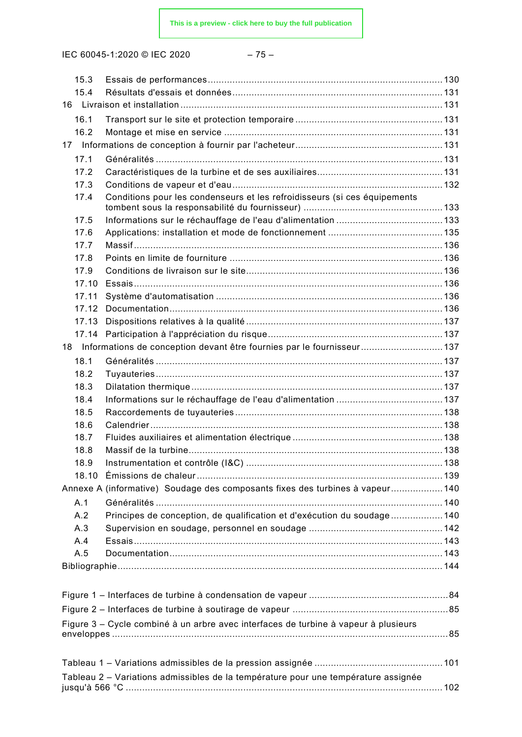IEC 60045-1:2020 © IEC 2020 – 75 –

| 15.3  |                                                                                     |  |
|-------|-------------------------------------------------------------------------------------|--|
| 15.4  |                                                                                     |  |
|       |                                                                                     |  |
| 16.1  |                                                                                     |  |
| 16.2  |                                                                                     |  |
|       |                                                                                     |  |
| 17.1  |                                                                                     |  |
| 17.2  |                                                                                     |  |
| 17.3  |                                                                                     |  |
| 17.4  | Conditions pour les condenseurs et les refroidisseurs (si ces équipements           |  |
| 17.5  |                                                                                     |  |
| 17.6  |                                                                                     |  |
| 17.7  |                                                                                     |  |
| 17.8  |                                                                                     |  |
| 17.9  |                                                                                     |  |
| 17.10 |                                                                                     |  |
| 17.11 |                                                                                     |  |
| 17.12 |                                                                                     |  |
| 17.13 |                                                                                     |  |
| 17.14 |                                                                                     |  |
| 18    | Informations de conception devant être fournies par le fournisseur137               |  |
| 18.1  |                                                                                     |  |
| 18.2  |                                                                                     |  |
| 18.3  |                                                                                     |  |
| 18.4  |                                                                                     |  |
| 18.5  |                                                                                     |  |
| 18.6  |                                                                                     |  |
| 18.7  |                                                                                     |  |
| 18.8  |                                                                                     |  |
| 18.9  |                                                                                     |  |
| 18.10 |                                                                                     |  |
|       | Annexe A (informative) Soudage des composants fixes des turbines à vapeur140        |  |
| A.1   |                                                                                     |  |
| A.2   | Principes de conception, de qualification et d'exécution du soudage140              |  |
| A.3   |                                                                                     |  |
| A.4   |                                                                                     |  |
| A.5   |                                                                                     |  |
|       |                                                                                     |  |
|       |                                                                                     |  |
|       |                                                                                     |  |
|       |                                                                                     |  |
|       | Figure 3 – Cycle combiné à un arbre avec interfaces de turbine à vapeur à plusieurs |  |
|       |                                                                                     |  |
|       |                                                                                     |  |
|       |                                                                                     |  |
|       | Tableau 2 – Variations admissibles de la température pour une température assignée  |  |
|       |                                                                                     |  |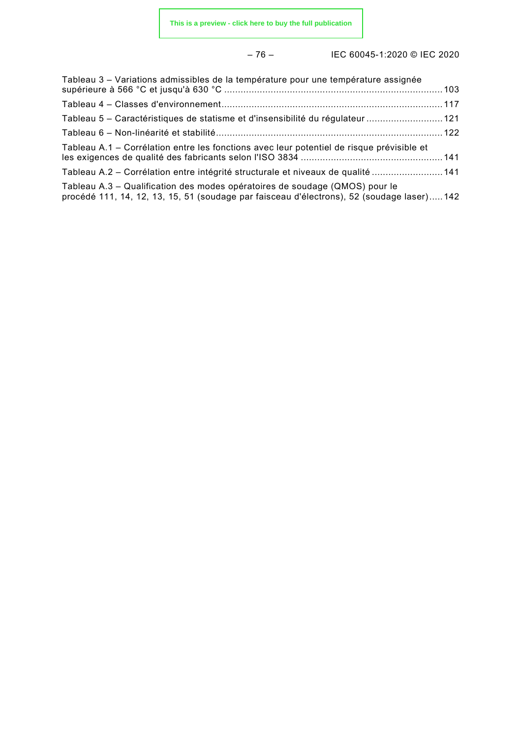– 76 – IEC 60045-1:2020 © IEC 2020

| Tableau 3 – Variations admissibles de la température pour une température assignée                                                                                        |  |
|---------------------------------------------------------------------------------------------------------------------------------------------------------------------------|--|
|                                                                                                                                                                           |  |
| Tableau 5 – Caractéristiques de statisme et d'insensibilité du régulateur  121                                                                                            |  |
|                                                                                                                                                                           |  |
| Tableau A.1 – Corrélation entre les fonctions avec leur potentiel de risque prévisible et                                                                                 |  |
| Tableau A.2 – Corrélation entre intégrité structurale et niveaux de qualité  141                                                                                          |  |
| Tableau A.3 – Qualification des modes opératoires de soudage (QMOS) pour le<br>procédé 111, 14, 12, 13, 15, 51 (soudage par faisceau d'électrons), 52 (soudage laser) 142 |  |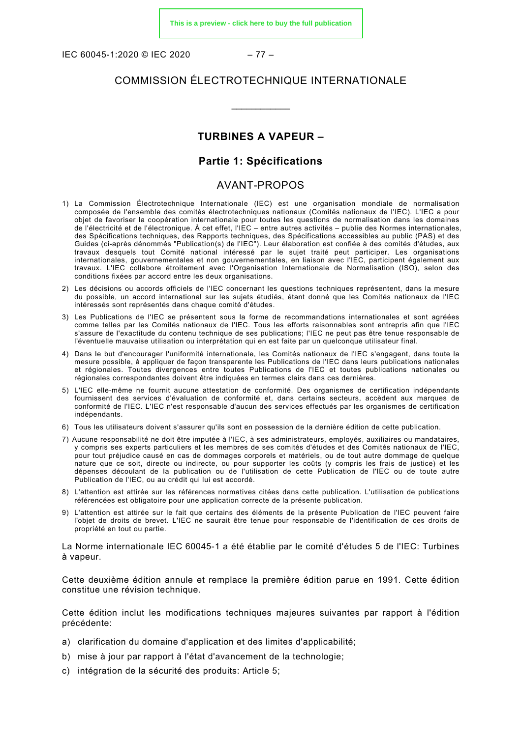IEC 60045-1:2020 © IEC 2020 – 77 –

# COMMISSION ÉLECTROTECHNIQUE INTERNATIONALE

\_\_\_\_\_\_\_\_\_\_\_\_

# **TURBINES A VAPEUR –**

# **Partie 1: Spécifications**

# AVANT-PROPOS

- <span id="page-16-0"></span>1) La Commission Électrotechnique Internationale (IEC) est une organisation mondiale de normalisation composée de l'ensemble des comités électrotechniques nationaux (Comités nationaux de l'IEC). L'IEC a pour objet de favoriser la coopération internationale pour toutes les questions de normalisation dans les domaines de l'électricité et de l'électronique. À cet effet, l'IEC – entre autres activités – publie des Normes internationales, des Spécifications techniques, des Rapports techniques, des Spécifications accessibles au public (PAS) et des Guides (ci-après dénommés "Publication(s) de l'IEC"). Leur élaboration est confiée à des comités d'études, aux travaux desquels tout Comité national intéressé par le sujet traité peut participer. Les organisations internationales, gouvernementales et non gouvernementales, en liaison avec l'IEC, participent également aux travaux. L'IEC collabore étroitement avec l'Organisation Internationale de Normalisation (ISO), selon des conditions fixées par accord entre les deux organisations.
- 2) Les décisions ou accords officiels de l'IEC concernant les questions techniques représentent, dans la mesure du possible, un accord international sur les sujets étudiés, étant donné que les Comités nationaux de l'IEC intéressés sont représentés dans chaque comité d'études.
- 3) Les Publications de l'IEC se présentent sous la forme de recommandations internationales et sont agréées comme telles par les Comités nationaux de l'IEC. Tous les efforts raisonnables sont entrepris afin que l'IEC s'assure de l'exactitude du contenu technique de ses publications; l'IEC ne peut pas être tenue responsable de l'éventuelle mauvaise utilisation ou interprétation qui en est faite par un quelconque utilisateur final.
- 4) Dans le but d'encourager l'uniformité internationale, les Comités nationaux de l'IEC s'engagent, dans toute la mesure possible, à appliquer de façon transparente les Publications de l'IEC dans leurs publications nationales et régionales. Toutes divergences entre toutes Publications de l'IEC et toutes publications nationales ou régionales correspondantes doivent être indiquées en termes clairs dans ces dernières.
- 5) L'IEC elle-même ne fournit aucune attestation de conformité. Des organismes de certification indépendants fournissent des services d'évaluation de conformité et, dans certains secteurs, accèdent aux marques de conformité de l'IEC. L'IEC n'est responsable d'aucun des services effectués par les organismes de certification indépendants.
- 6) Tous les utilisateurs doivent s'assurer qu'ils sont en possession de la dernière édition de cette publication.
- 7) Aucune responsabilité ne doit être imputée à l'IEC, à ses administrateurs, employés, auxiliaires ou mandataires, y compris ses experts particuliers et les membres de ses comités d'études et des Comités nationaux de l'IEC, pour tout préjudice causé en cas de dommages corporels et matériels, ou de tout autre dommage de quelque nature que ce soit, directe ou indirecte, ou pour supporter les coûts (y compris les frais de justice) et les dépenses découlant de la publication ou de l'utilisation de cette Publication de l'IEC ou de toute autre Publication de l'IEC, ou au crédit qui lui est accordé.
- 8) L'attention est attirée sur les références normatives citées dans cette publication. L'utilisation de publications référencées est obligatoire pour une application correcte de la présente publication.
- 9) L'attention est attirée sur le fait que certains des éléments de la présente Publication de l'IEC peuvent faire l'objet de droits de brevet. L'IEC ne saurait être tenue pour responsable de l'identification de ces droits de propriété en tout ou partie.

La Norme internationale IEC 60045-1 a été établie par le comité d'études 5 de l'IEC: Turbines à vapeur.

Cette deuxième édition annule et remplace la première édition parue en 1991. Cette édition constitue une révision technique.

Cette édition inclut les modifications techniques majeures suivantes par rapport à l'édition précédente:

- a) clarification du domaine d'application et des limites d'applicabilité;
- b) mise à jour par rapport à l'état d'avancement de la technologie;
- c) intégration de la sécurité des produits: Article 5;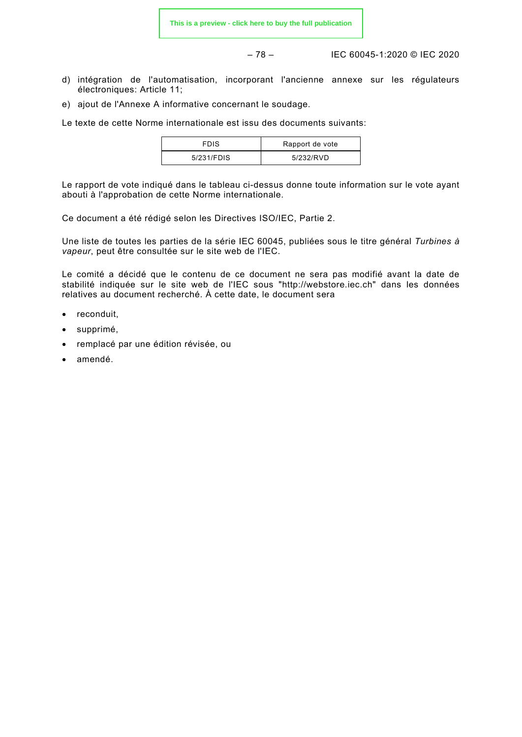**[This is a preview - click here to buy the full publication](https://webstore.iec.ch/publication/34370&preview)**

– 78 – IEC 60045-1:2020 © IEC 2020

- d) intégration de l'automatisation, incorporant l'ancienne annexe sur les régulateurs électroniques: Article 11;
- e) ajout de l'Annexe A informative concernant le soudage.

Le texte de cette Norme internationale est issu des documents suivants:

| <b>FDIS</b> | Rapport de vote |
|-------------|-----------------|
| 5/231/FDIS  | 5/232/RVD       |

Le rapport de vote indiqué dans le tableau ci-dessus donne toute information sur le vote ayant abouti à l'approbation de cette Norme internationale.

Ce document a été rédigé selon les Directives ISO/IEC, Partie 2.

Une liste de toutes les parties de la série IEC 60045, publiées sous le titre général *Turbines à vapeur*, peut être consultée sur le site web de l'IEC.

Le comité a décidé que le contenu de ce document ne sera pas modifié avant la date de stabilité indiquée sur le site web de l'IEC sous ["http://webstore.iec.ch"](http://webstore.iec.ch/) dans les données relatives au document recherché. À cette date, le document sera

- reconduit,
- supprimé,
- remplacé par une édition révisée, ou
- amendé.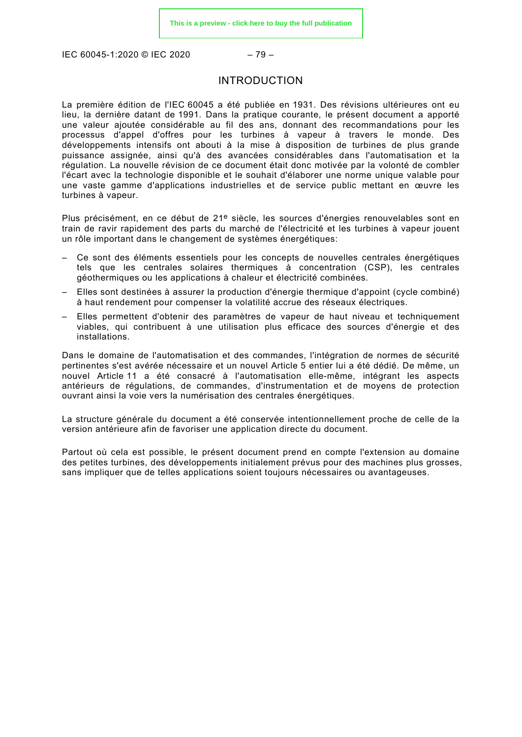<span id="page-18-0"></span>IEC 60045-1:2020 © IEC 2020 – 79 –

# INTRODUCTION

La première édition de l'IEC 60045 a été publiée en 1931. Des révisions ultérieures ont eu lieu, la dernière datant de 1991. Dans la pratique courante, le présent document a apporté une valeur ajoutée considérable au fil des ans, donnant des recommandations pour les processus d'appel d'offres pour les turbines à vapeur à travers le monde. Des développements intensifs ont abouti à la mise à disposition de turbines de plus grande puissance assignée, ainsi qu'à des avancées considérables dans l'automatisation et la régulation. La nouvelle révision de ce document était donc motivée par la volonté de combler l'écart avec la technologie disponible et le souhait d'élaborer une norme unique valable pour une vaste gamme d'applications industrielles et de service public mettant en œuvre les turbines à vapeur.

Plus précisément, en ce début de 21<sup>e</sup> siècle, les sources d'énergies renouvelables sont en train de ravir rapidement des parts du marché de l'électricité et les turbines à vapeur jouent un rôle important dans le changement de systèmes énergétiques:

- Ce sont des éléments essentiels pour les concepts de nouvelles centrales énergétiques tels que les centrales solaires thermiques à concentration (CSP), les centrales géothermiques ou les applications à chaleur et électricité combinées.
- Elles sont destinées à assurer la production d'énergie thermique d'appoint (cycle combiné) à haut rendement pour compenser la volatilité accrue des réseaux électriques.
- Elles permettent d'obtenir des paramètres de vapeur de haut niveau et techniquement viables, qui contribuent à une utilisation plus efficace des sources d'énergie et des installations.

Dans le domaine de l'automatisation et des commandes, l'intégration de normes de sécurité pertinentes s'est avérée nécessaire et un nouvel Article 5 entier lui a été dédié. De même, un nouvel Article 11 a été consacré à l'automatisation elle-même, intégrant les aspects antérieurs de régulations, de commandes, d'instrumentation et de moyens de protection ouvrant ainsi la voie vers la numérisation des centrales énergétiques.

La structure générale du document a été conservée intentionnellement proche de celle de la version antérieure afin de favoriser une application directe du document.

Partout où cela est possible, le présent document prend en compte l'extension au domaine des petites turbines, des développements initialement prévus pour des machines plus grosses, sans impliquer que de telles applications soient toujours nécessaires ou avantageuses.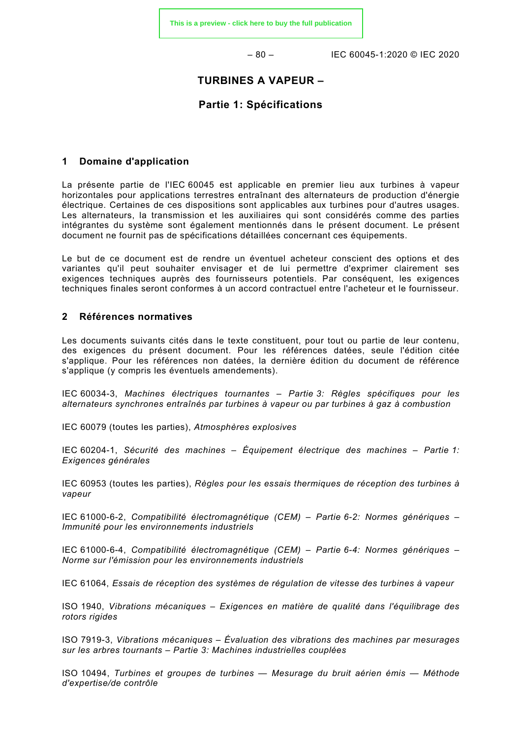$-80 -$  IEC 60045-1:2020 © IEC 2020

# **TURBINES A VAPEUR –**

# **Partie 1: Spécifications**

#### <span id="page-19-0"></span>**1 Domaine d'application**

La présente partie de l'IEC 60045 est applicable en premier lieu aux turbines à vapeur horizontales pour applications terrestres entraînant des alternateurs de production d'énergie électrique. Certaines de ces dispositions sont applicables aux turbines pour d'autres usages. Les alternateurs, la transmission et les auxiliaires qui sont considérés comme des parties intégrantes du système sont également mentionnés dans le présent document. Le présent document ne fournit pas de spécifications détaillées concernant ces équipements.

Le but de ce document est de rendre un éventuel acheteur conscient des options et des variantes qu'il peut souhaiter envisager et de lui permettre d'exprimer clairement ses exigences techniques auprès des fournisseurs potentiels. Par conséquent, les exigences techniques finales seront conformes à un accord contractuel entre l'acheteur et le fournisseur.

#### <span id="page-19-1"></span>**2 Références normatives**

Les documents suivants cités dans le texte constituent, pour tout ou partie de leur contenu, des exigences du présent document. Pour les références datées, seule l'édition citée s'applique. Pour les références non datées, la dernière édition du document de référence s'applique (y compris les éventuels amendements).

IEC 60034-3, *Machines électriques tournantes – Partie 3: Règles spécifiques pour les alternateurs synchrones entraînés par turbines à vapeur ou par turbines à gaz à combustion*

IEC 60079 (toutes les parties), *Atmosphères explosives*

IEC 60204-1, *Sécurité des machines – Équipement électrique des machines – Partie 1: Exigences générales*

IEC 60953 (toutes les parties), *Règles pour les essais thermiques de réception des turbines à vapeur*

IEC 61000-6-2, *Compatibilité électromagnétique (CEM) – Partie 6-2: Normes génériques – Immunité pour les environnements industriels*

IEC 61000-6-4, *Compatibilité électromagnétique (CEM) – Partie 6-4: Normes génériques – Norme sur l'émission pour les environnements industriels*

IEC 61064, *Essais de réception des systèmes de régulation de vitesse des turbines à vapeur*

ISO 1940, *Vibrations mécaniques – Exigences en matière de qualité dans l'équilibrage des rotors rigides*

ISO 7919-3, *Vibrations mécaniques – Évaluation des vibrations des machines par mesurages sur les arbres tournants – Partie 3: Machines industrielles couplées*

ISO 10494, *Turbines et groupes de turbines — Mesurage du bruit aérien émis — Méthode d'expertise/de contrôle*